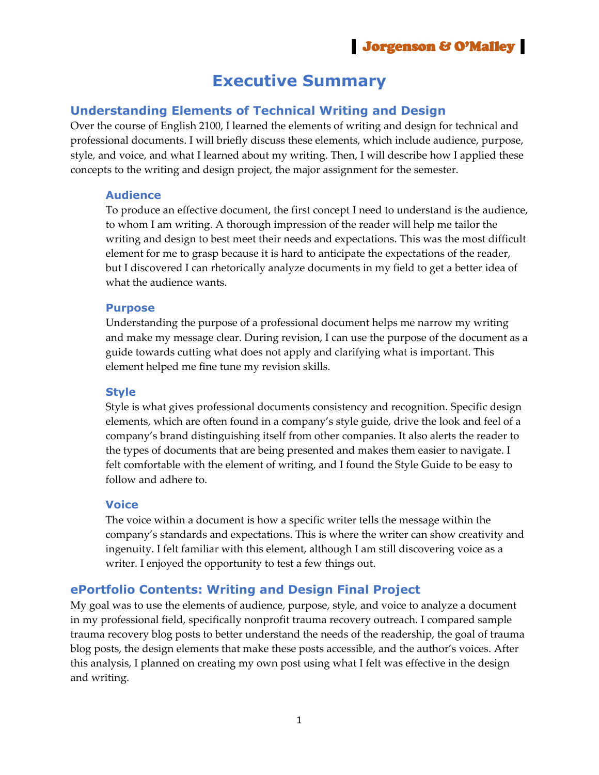# **Executive Summary**

## **Understanding Elements of Technical Writing and Design**

Over the course of English 2100, I learned the elements of writing and design for technical and professional documents. I will briefly discuss these elements, which include audience, purpose, style, and voice, and what I learned about my writing. Then, I will describe how I applied these concepts to the writing and design project, the major assignment for the semester.

#### **Audience**

To produce an effective document, the first concept I need to understand is the audience, to whom I am writing. A thorough impression of the reader will help me tailor the writing and design to best meet their needs and expectations. This was the most difficult element for me to grasp because it is hard to anticipate the expectations of the reader, but I discovered I can rhetorically analyze documents in my field to get a better idea of what the audience wants.

#### **Purpose**

Understanding the purpose of a professional document helps me narrow my writing and make my message clear. During revision, I can use the purpose of the document as a guide towards cutting what does not apply and clarifying what is important. This element helped me fine tune my revision skills.

#### **Style**

Style is what gives professional documents consistency and recognition. Specific design elements, which are often found in a company's style guide, drive the look and feel of a company's brand distinguishing itself from other companies. It also alerts the reader to the types of documents that are being presented and makes them easier to navigate. I felt comfortable with the element of writing, and I found the Style Guide to be easy to follow and adhere to.

#### **Voice**

The voice within a document is how a specific writer tells the message within the company's standards and expectations. This is where the writer can show creativity and ingenuity. I felt familiar with this element, although I am still discovering voice as a writer. I enjoyed the opportunity to test a few things out.

### **ePortfolio Contents: Writing and Design Final Project**

My goal was to use the elements of audience, purpose, style, and voice to analyze a document in my professional field, specifically nonprofit trauma recovery outreach. I compared sample trauma recovery blog posts to better understand the needs of the readership, the goal of trauma blog posts, the design elements that make these posts accessible, and the author's voices. After this analysis, I planned on creating my own post using what I felt was effective in the design and writing.